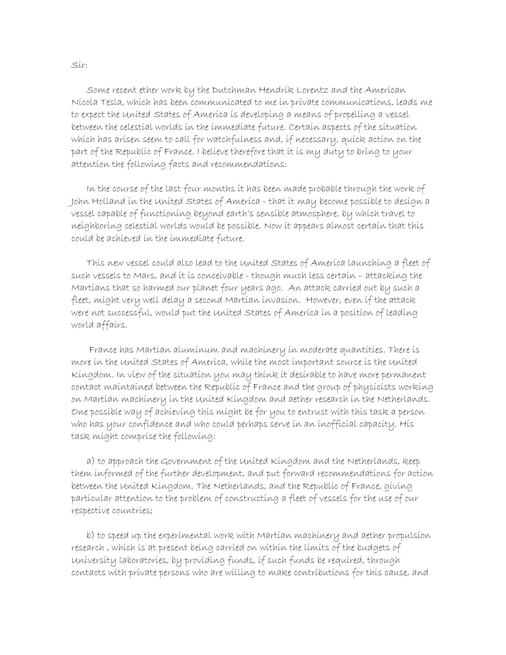Some recent ether work by the Dutchman Hendrik Lorentz and the American Nicola Tesla, which has been communicated to me in private communications, leads me to expect the United States of America is developing a means of propelling a vessel between the celestial worlds in the immediate future. Certain aspects of the situation which has arisen seem to call for watchfulness and, if necessary, quick action on the part of the Republic of France. I believe therefore that it is my duty to bring to your attention the following facts and recommendations:

 In the course of the last four months it has been made probable through the work of John Holland in the United States of America - that it may become possible to design a vessel capable of functioning beyond earth's sensible atmosphere, by which travel to neighboring celestial worlds would be possible. Now it appears almost certain that this could be achieved in the immediate future.

 This new vessel could also lead to the United States of America launching a fleet of such vessels to Mars, and it is conceivable - though much less certain – attacking the Martians that so harmed our planet four years ago. An attack carried out by such a fleet, might very well delay a second Martian invasion. However, even if the attack were not successful, would put the United States of America in a position of leading world affairs.

 France has Martian aluminum and machinery in moderate quantities. There is more in the United States of America, while the most important source is the United Kingdom. In view of the situation you may think it desirable to have more permanent contact maintained between the Republic of France and the group of physicists working on Martian machinery in the United Kingdom and aether research in the Netherlands. One possible way of achieving this might be for you to entrust with this task a person who has your confidence and who could perhaps serve in an inofficial capacity. His task might comprise the following:

 a) to approach the Government of the United Kingdom and the Netherlands, keep them informed of the further development, and put forward recommendations for action between the United Kingdom. The Netherlands, and the Republic of France, giving particular attention to the problem of constructing a fleet of vessels for the use of our respective countries;

 b) to speed up the experimental work with Martian machinery and aether propulsion research , which is at present being carried on within the limits of the budgets of University laboratories, by providing funds, if such funds be required, through contacts with private persons who are willing to make contributions for this cause, and

Sir: